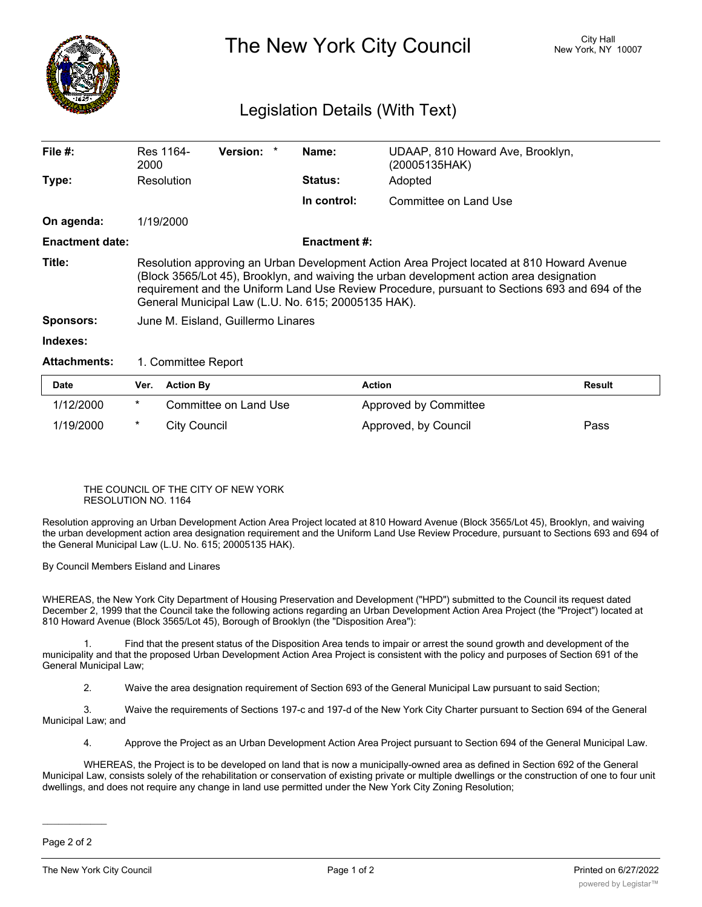

The New York City Council New York, NY 10007

## Legislation Details (With Text)

| File $#$ :             | Res 1164-<br>2000                                                                                                                                                                                                                                                                                                                               | <b>Version:</b> |  | Name:               | UDAAP, 810 Howard Ave, Brooklyn,<br>(20005135HAK) |  |  |
|------------------------|-------------------------------------------------------------------------------------------------------------------------------------------------------------------------------------------------------------------------------------------------------------------------------------------------------------------------------------------------|-----------------|--|---------------------|---------------------------------------------------|--|--|
| Type:                  | Resolution                                                                                                                                                                                                                                                                                                                                      |                 |  | <b>Status:</b>      | Adopted                                           |  |  |
|                        |                                                                                                                                                                                                                                                                                                                                                 |                 |  | In control:         | Committee on Land Use                             |  |  |
| On agenda:             | 1/19/2000                                                                                                                                                                                                                                                                                                                                       |                 |  |                     |                                                   |  |  |
| <b>Enactment date:</b> |                                                                                                                                                                                                                                                                                                                                                 |                 |  | <b>Enactment #:</b> |                                                   |  |  |
| Title:                 | Resolution approving an Urban Development Action Area Project located at 810 Howard Avenue<br>(Block 3565/Lot 45), Brooklyn, and waiving the urban development action area designation<br>requirement and the Uniform Land Use Review Procedure, pursuant to Sections 693 and 694 of the<br>General Municipal Law (L.U. No. 615; 20005135 HAK). |                 |  |                     |                                                   |  |  |
| <b>Sponsors:</b>       | June M. Eisland, Guillermo Linares                                                                                                                                                                                                                                                                                                              |                 |  |                     |                                                   |  |  |
| Indexes:               |                                                                                                                                                                                                                                                                                                                                                 |                 |  |                     |                                                   |  |  |
| <b>Attachments:</b>    | 1. Committee Report                                                                                                                                                                                                                                                                                                                             |                 |  |                     |                                                   |  |  |

| <b>Date</b> | Ver. | <b>Action Bv</b>      | Action                | Result |
|-------------|------|-----------------------|-----------------------|--------|
| 1/12/2000   |      | Committee on Land Use | Approved by Committee |        |
| 1/19/2000   |      | City Council          | Approved, by Council  | Pass   |

## THE COUNCIL OF THE CITY OF NEW YORK RESOLUTION NO. 1164

Resolution approving an Urban Development Action Area Project located at 810 Howard Avenue (Block 3565/Lot 45), Brooklyn, and waiving the urban development action area designation requirement and the Uniform Land Use Review Procedure, pursuant to Sections 693 and 694 of the General Municipal Law (L.U. No. 615; 20005135 HAK).

By Council Members Eisland and Linares

WHEREAS, the New York City Department of Housing Preservation and Development ("HPD") submitted to the Council its request dated December 2, 1999 that the Council take the following actions regarding an Urban Development Action Area Project (the "Project") located at 810 Howard Avenue (Block 3565/Lot 45), Borough of Brooklyn (the "Disposition Area"):

1. Find that the present status of the Disposition Area tends to impair or arrest the sound growth and development of the municipality and that the proposed Urban Development Action Area Project is consistent with the policy and purposes of Section 691 of the General Municipal Law;

2. Waive the area designation requirement of Section 693 of the General Municipal Law pursuant to said Section;

3. Waive the requirements of Sections 197-c and 197-d of the New York City Charter pursuant to Section 694 of the General Municipal Law; and

4. Approve the Project as an Urban Development Action Area Project pursuant to Section 694 of the General Municipal Law.

WHEREAS, the Project is to be developed on land that is now a municipally-owned area as defined in Section 692 of the General Municipal Law, consists solely of the rehabilitation or conservation of existing private or multiple dwellings or the construction of one to four unit dwellings, and does not require any change in land use permitted under the New York City Zoning Resolution;

 $\overline{\phantom{a}}$ 

Page 2 of 2